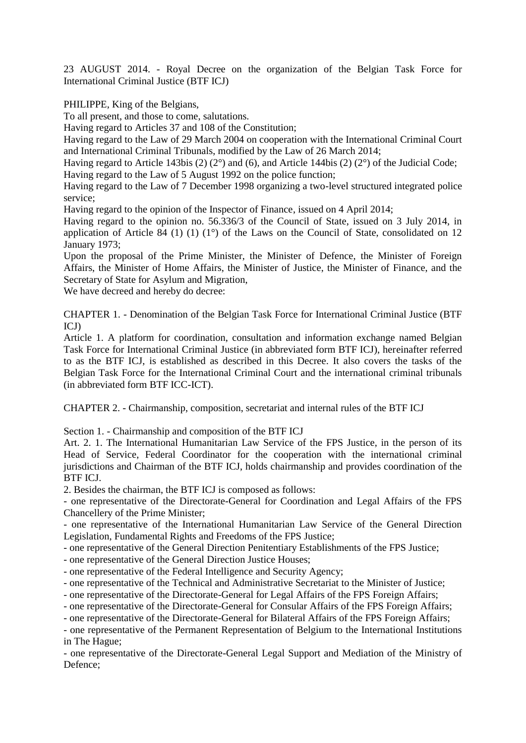23 AUGUST 2014. - Royal Decree on the organization of the Belgian Task Force for International Criminal Justice (BTF ICJ)

PHILIPPE, King of the Belgians,

To all present, and those to come, salutations.

Having regard to Articles 37 and 108 of the Constitution;

Having regard to the Law of 29 March 2004 on cooperation with the International Criminal Court and International Criminal Tribunals, modified by the Law of 26 March 2014;

Having regard to Article 143bis (2) (2°) and (6), and Article 144bis (2) (2°) of the Judicial Code; Having regard to the Law of 5 August 1992 on the police function;

Having regard to the Law of 7 December 1998 organizing a two-level structured integrated police service;

Having regard to the opinion of the Inspector of Finance, issued on 4 April 2014;

Having regard to the opinion no. 56.336/3 of the Council of State, issued on 3 July 2014, in application of Article 84 (1) (1) (1<sup>o</sup>) of the Laws on the Council of State, consolidated on 12 January 1973;

Upon the proposal of the Prime Minister, the Minister of Defence, the Minister of Foreign Affairs, the Minister of Home Affairs, the Minister of Justice, the Minister of Finance, and the Secretary of State for Asylum and Migration,

We have decreed and hereby do decree:

CHAPTER 1. - Denomination of the Belgian Task Force for International Criminal Justice (BTF ICJ)

Article 1. A platform for coordination, consultation and information exchange named Belgian Task Force for International Criminal Justice (in abbreviated form BTF ICJ), hereinafter referred to as the BTF ICJ, is established as described in this Decree. It also covers the tasks of the Belgian Task Force for the International Criminal Court and the international criminal tribunals (in abbreviated form BTF ICC-ICT).

CHAPTER 2. - Chairmanship, composition, secretariat and internal rules of the BTF ICJ

Section 1. - Chairmanship and composition of the BTF ICJ

Art. 2. 1. The International Humanitarian Law Service of the FPS Justice, in the person of its Head of Service, Federal Coordinator for the cooperation with the international criminal jurisdictions and Chairman of the BTF ICJ, holds chairmanship and provides coordination of the BTF ICJ.

2. Besides the chairman, the BTF ICJ is composed as follows:

- one representative of the Directorate-General for Coordination and Legal Affairs of the FPS Chancellery of the Prime Minister;

- one representative of the International Humanitarian Law Service of the General Direction Legislation, Fundamental Rights and Freedoms of the FPS Justice;

- one representative of the General Direction Penitentiary Establishments of the FPS Justice;

- one representative of the General Direction Justice Houses;

- one representative of the Federal Intelligence and Security Agency;

- one representative of the Technical and Administrative Secretariat to the Minister of Justice;

- one representative of the Directorate-General for Legal Affairs of the FPS Foreign Affairs;

- one representative of the Directorate-General for Consular Affairs of the FPS Foreign Affairs;

- one representative of the Directorate-General for Bilateral Affairs of the FPS Foreign Affairs;

- one representative of the Permanent Representation of Belgium to the International Institutions in The Hague;

- one representative of the Directorate-General Legal Support and Mediation of the Ministry of Defence;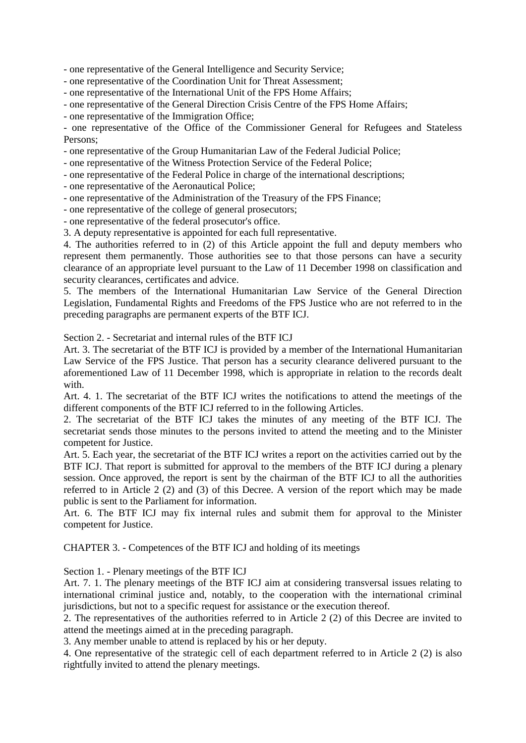- one representative of the General Intelligence and Security Service;

- one representative of the Coordination Unit for Threat Assessment;

- one representative of the International Unit of the FPS Home Affairs;

- one representative of the General Direction Crisis Centre of the FPS Home Affairs;

- one representative of the Immigration Office;

- one representative of the Office of the Commissioner General for Refugees and Stateless Persons;

- one representative of the Group Humanitarian Law of the Federal Judicial Police;

- one representative of the Witness Protection Service of the Federal Police;

- one representative of the Federal Police in charge of the international descriptions;

- one representative of the Aeronautical Police;

- one representative of the Administration of the Treasury of the FPS Finance;

- one representative of the college of general prosecutors;

- one representative of the federal prosecutor's office.

3. A deputy representative is appointed for each full representative.

4. The authorities referred to in (2) of this Article appoint the full and deputy members who represent them permanently. Those authorities see to that those persons can have a security clearance of an appropriate level pursuant to the Law of 11 December 1998 on classification and security clearances, certificates and advice.

5. The members of the International Humanitarian Law Service of the General Direction Legislation, Fundamental Rights and Freedoms of the FPS Justice who are not referred to in the preceding paragraphs are permanent experts of the BTF ICJ.

Section 2. - Secretariat and internal rules of the BTF ICJ

Art. 3. The secretariat of the BTF ICJ is provided by a member of the International Humanitarian Law Service of the FPS Justice. That person has a security clearance delivered pursuant to the aforementioned Law of 11 December 1998, which is appropriate in relation to the records dealt with.

Art. 4. 1. The secretariat of the BTF ICJ writes the notifications to attend the meetings of the different components of the BTF ICJ referred to in the following Articles.

2. The secretariat of the BTF ICJ takes the minutes of any meeting of the BTF ICJ. The secretariat sends those minutes to the persons invited to attend the meeting and to the Minister competent for Justice.

Art. 5. Each year, the secretariat of the BTF ICJ writes a report on the activities carried out by the BTF ICJ. That report is submitted for approval to the members of the BTF ICJ during a plenary session. Once approved, the report is sent by the chairman of the BTF ICJ to all the authorities referred to in Article 2 (2) and (3) of this Decree. A version of the report which may be made public is sent to the Parliament for information.

Art. 6. The BTF ICJ may fix internal rules and submit them for approval to the Minister competent for Justice.

CHAPTER 3. - Competences of the BTF ICJ and holding of its meetings

Section 1. - Plenary meetings of the BTF ICJ

Art. 7. 1. The plenary meetings of the BTF ICJ aim at considering transversal issues relating to international criminal justice and, notably, to the cooperation with the international criminal jurisdictions, but not to a specific request for assistance or the execution thereof.

2. The representatives of the authorities referred to in Article 2 (2) of this Decree are invited to attend the meetings aimed at in the preceding paragraph.

3. Any member unable to attend is replaced by his or her deputy.

4. One representative of the strategic cell of each department referred to in Article 2 (2) is also rightfully invited to attend the plenary meetings.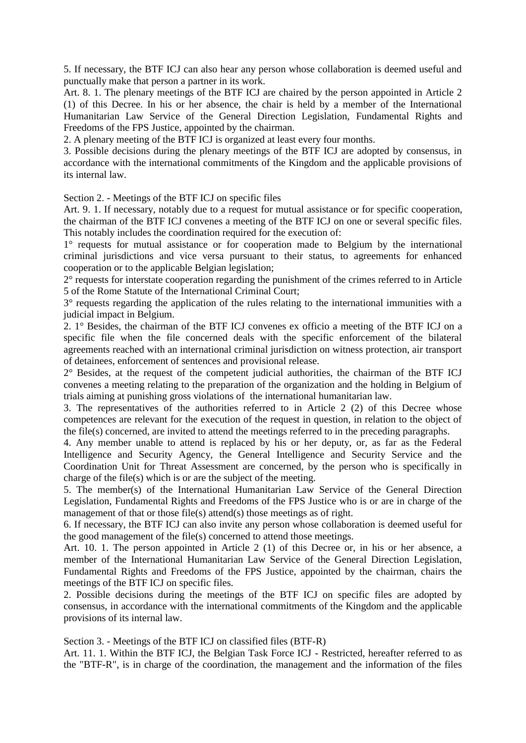5. If necessary, the BTF ICJ can also hear any person whose collaboration is deemed useful and punctually make that person a partner in its work.

Art. 8. 1. The plenary meetings of the BTF ICJ are chaired by the person appointed in Article 2 (1) of this Decree. In his or her absence, the chair is held by a member of the International Humanitarian Law Service of the General Direction Legislation, Fundamental Rights and Freedoms of the FPS Justice, appointed by the chairman.

2. A plenary meeting of the BTF ICJ is organized at least every four months.

3. Possible decisions during the plenary meetings of the BTF ICJ are adopted by consensus, in accordance with the international commitments of the Kingdom and the applicable provisions of its internal law.

Section 2. - Meetings of the BTF ICJ on specific files

Art. 9. 1. If necessary, notably due to a request for mutual assistance or for specific cooperation, the chairman of the BTF ICJ convenes a meeting of the BTF ICJ on one or several specific files. This notably includes the coordination required for the execution of:

1° requests for mutual assistance or for cooperation made to Belgium by the international criminal jurisdictions and vice versa pursuant to their status, to agreements for enhanced cooperation or to the applicable Belgian legislation;

2° requests for interstate cooperation regarding the punishment of the crimes referred to in Article 5 of the Rome Statute of the International Criminal Court;

3° requests regarding the application of the rules relating to the international immunities with a judicial impact in Belgium.

2. 1° Besides, the chairman of the BTF ICJ convenes ex officio a meeting of the BTF ICJ on a specific file when the file concerned deals with the specific enforcement of the bilateral agreements reached with an international criminal jurisdiction on witness protection, air transport of detainees, enforcement of sentences and provisional release.

2° Besides, at the request of the competent judicial authorities, the chairman of the BTF ICJ convenes a meeting relating to the preparation of the organization and the holding in Belgium of trials aiming at punishing gross violations of the international humanitarian law.

3. The representatives of the authorities referred to in Article 2 (2) of this Decree whose competences are relevant for the execution of the request in question, in relation to the object of the file(s) concerned, are invited to attend the meetings referred to in the preceding paragraphs.

4. Any member unable to attend is replaced by his or her deputy, or, as far as the Federal Intelligence and Security Agency, the General Intelligence and Security Service and the Coordination Unit for Threat Assessment are concerned, by the person who is specifically in charge of the file(s) which is or are the subject of the meeting.

5. The member(s) of the International Humanitarian Law Service of the General Direction Legislation, Fundamental Rights and Freedoms of the FPS Justice who is or are in charge of the management of that or those file(s) attend(s) those meetings as of right.

6. If necessary, the BTF ICJ can also invite any person whose collaboration is deemed useful for the good management of the file(s) concerned to attend those meetings.

Art. 10. 1. The person appointed in Article 2 (1) of this Decree or, in his or her absence, a member of the International Humanitarian Law Service of the General Direction Legislation, Fundamental Rights and Freedoms of the FPS Justice, appointed by the chairman, chairs the meetings of the BTF ICJ on specific files.

2. Possible decisions during the meetings of the BTF ICJ on specific files are adopted by consensus, in accordance with the international commitments of the Kingdom and the applicable provisions of its internal law.

Section 3. - Meetings of the BTF ICJ on classified files (BTF-R)

Art. 11. 1. Within the BTF ICJ, the Belgian Task Force ICJ - Restricted, hereafter referred to as the "BTF-R", is in charge of the coordination, the management and the information of the files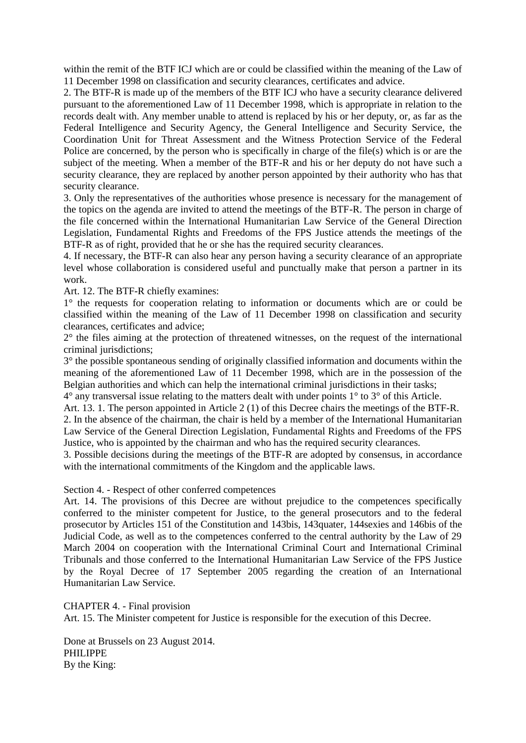within the remit of the BTF ICJ which are or could be classified within the meaning of the Law of 11 December 1998 on classification and security clearances, certificates and advice.

2. The BTF-R is made up of the members of the BTF ICJ who have a security clearance delivered pursuant to the aforementioned Law of 11 December 1998, which is appropriate in relation to the records dealt with. Any member unable to attend is replaced by his or her deputy, or, as far as the Federal Intelligence and Security Agency, the General Intelligence and Security Service, the Coordination Unit for Threat Assessment and the Witness Protection Service of the Federal Police are concerned, by the person who is specifically in charge of the file(s) which is or are the subject of the meeting. When a member of the BTF-R and his or her deputy do not have such a security clearance, they are replaced by another person appointed by their authority who has that security clearance.

3. Only the representatives of the authorities whose presence is necessary for the management of the topics on the agenda are invited to attend the meetings of the BTF-R. The person in charge of the file concerned within the International Humanitarian Law Service of the General Direction Legislation, Fundamental Rights and Freedoms of the FPS Justice attends the meetings of the BTF-R as of right, provided that he or she has the required security clearances.

4. If necessary, the BTF-R can also hear any person having a security clearance of an appropriate level whose collaboration is considered useful and punctually make that person a partner in its work.

Art. 12. The BTF-R chiefly examines:

1° the requests for cooperation relating to information or documents which are or could be classified within the meaning of the Law of 11 December 1998 on classification and security clearances, certificates and advice;

2° the files aiming at the protection of threatened witnesses, on the request of the international criminal jurisdictions;

3° the possible spontaneous sending of originally classified information and documents within the meaning of the aforementioned Law of 11 December 1998, which are in the possession of the Belgian authorities and which can help the international criminal jurisdictions in their tasks;

4° any transversal issue relating to the matters dealt with under points 1° to 3° of this Article.

Art. 13. 1. The person appointed in Article 2 (1) of this Decree chairs the meetings of the BTF-R. 2. In the absence of the chairman, the chair is held by a member of the International Humanitarian Law Service of the General Direction Legislation, Fundamental Rights and Freedoms of the FPS Justice, who is appointed by the chairman and who has the required security clearances.

3. Possible decisions during the meetings of the BTF-R are adopted by consensus, in accordance with the international commitments of the Kingdom and the applicable laws.

Section 4. - Respect of other conferred competences

Art. 14. The provisions of this Decree are without prejudice to the competences specifically conferred to the minister competent for Justice, to the general prosecutors and to the federal prosecutor by Articles 151 of the Constitution and 143bis, 143quater, 144sexies and 146bis of the Judicial Code, as well as to the competences conferred to the central authority by the Law of 29 March 2004 on cooperation with the International Criminal Court and International Criminal Tribunals and those conferred to the International Humanitarian Law Service of the FPS Justice by the Royal Decree of 17 September 2005 regarding the creation of an International Humanitarian Law Service.

CHAPTER 4. - Final provision

Art. 15. The Minister competent for Justice is responsible for the execution of this Decree.

Done at Brussels on 23 August 2014. PHILIPPE By the King: